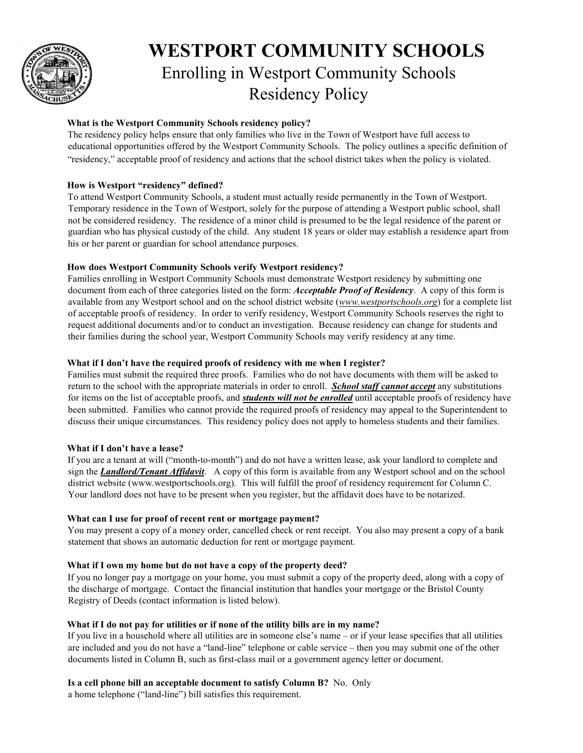

# **WESTPORT COMMUNITY SCHOOLS**  Enrolling in Westport Community Schools Residency Policy

# **What is the Westport Community Schools residency policy?**

The residency policy helps ensure that only families who live in the Town of Westport have full access to educational opportunities offered by the Westport Community Schools. The policy outlines a specific definition of "residency," acceptable proof of residency and actions that the school district takes when the policy is violated.

# **How is Westport "residency" defined?**

To attend Westport Community Schools, a student must actually reside permanently in the Town of Westport. Temporary residence in the Town of Westport, solely for the purpose of attending a Westport public school, shall not be considered residency. The residence of a minor child is presumed to be the legal residence of the parent or guardian who has physical custody of the child. Any student 18 years or older may establish a residence apart from his or her parent or guardian for school attendance purposes.

## **How does Westport Community Schools verify Westport residency?**

Families enrolling in Westport Community Schools must demonstrate Westport residency by submitting one document from each of three categories listed on the form: *Acceptable Proof of Residency*. A copy of this form is available from any Westport school and on the school district website (*www.westportschools.org*) for a complete list of acceptable proofs of residency. In order to verify residency, Westport Community Schools reserves the right to request additional documents and/or to conduct an investigation. Because residency can change for students and their families during the school year, Westport Community Schools may verify residency at any time.

## **What if I don't have the required proofs of residency with me when I register?**

Families must submit the required three proofs. Families who do not have documents with them will be asked to return to the school with the appropriate materials in order to enroll. *School staff cannot accept* any substitutions for items on the list of acceptable proofs, and *students will not be enrolled* until acceptable proofs of residency have been submitted. Families who cannot provide the required proofs of residency may appeal to the Superintendent to discuss their unique circumstances. This residency policy does not apply to homeless students and their families.

## **What if I don't have a lease?**

If you are a tenant at will ("month-to-month") and do not have a written lease, ask your landlord to complete and sign the *Landlord/Tenant Affidavit*. A copy of this form is available from any Westport school and on the school district website (www.westportschools.org). This will fulfill the proof of residency requirement for Column C. Your landlord does not have to be present when you register, but the affidavit does have to be notarized.

## **What can I use for proof of recent rent or mortgage payment?**

You may present a copy of a money order, cancelled check or rent receipt. You also may present a copy of a bank statement that shows an automatic deduction for rent or mortgage payment.

## **What if I own my home but do not have a copy of the property deed?**

If you no longer pay a mortgage on your home, you must submit a copy of the property deed, along with a copy of the discharge of mortgage. Contact the financial institution that handles your mortgage or the Bristol County Registry of Deeds (contact information is listed below).

## **What if I do not pay for utilities or if none of the utility bills are in my name?**

If you live in a household where all utilities are in someone else's name – or if your lease specifies that all utilities are included and you do not have a "land-line" telephone or cable service – then you may submit one of the other documents listed in Column B, such as first-class mail or a government agency letter or document.

## **Is a cell phone bill an acceptable document to satisfy Column B?** No. Only

a home telephone ("land-line") bill satisfies this requirement.